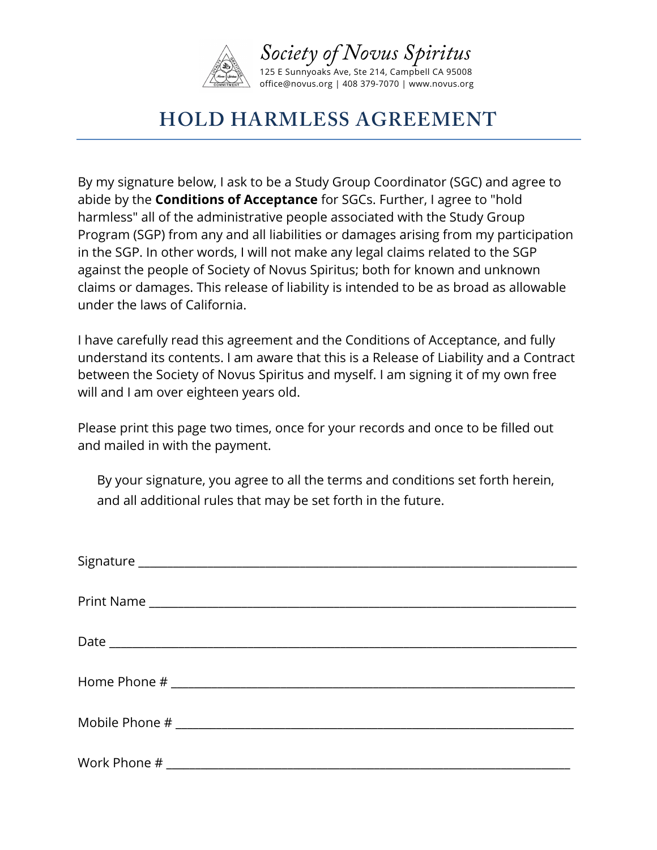

## **HOLD HARMLESS AGREEMENT**

By my signature below, I ask to be a Study Group Coordinator (SGC) and agree to abide by the **Conditions of Acceptance** for SGCs. Further, I agree to "hold harmless" all of the administrative people associated with the Study Group Program (SGP) from any and all liabilities or damages arising from my participation in the SGP. In other words, I will not make any legal claims related to the SGP against the people of Society of Novus Spiritus; both for known and unknown claims or damages. This release of liability is intended to be as broad as allowable under the laws of California.

I have carefully read this agreement and the Conditions of Acceptance, and fully understand its contents. I am aware that this is a Release of Liability and a Contract between the Society of Novus Spiritus and myself. I am signing it of my own free will and I am over eighteen years old.

Please print this page two times, once for your records and once to be filled out and mailed in with the payment.

By your signature, you agree to all the terms and conditions set forth herein, and all additional rules that may be set forth in the future.